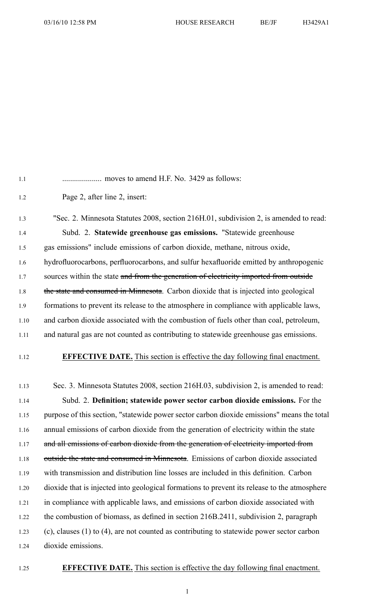1.1 .................... moves to amend H.F. No. 3429 as follows:

1.2 Page 2, after line 2, insert:

1.3 "Sec. 2. Minnesota Statutes 2008, section 216H.01, subdivision 2, is amended to read: 1.4 Subd. 2. **Statewide greenhouse gas emissions.** "Statewide greenhouse 1.5 gas emissions" include emissions of carbon dioxide, methane, nitrous oxide, 1.6 hydrofluorocarbons, perfluorocarbons, and sulfur hexafluoride emitted by anthropogenic 1.7 sources within the state and from the generation of electricity imported from outside 1.8 the state and consumed in Minnesota. Carbon dioxide that is injected into geological 1.9 formations to preven<sup>t</sup> its release to the atmosphere in compliance with applicable laws, 1.10 and carbon dioxide associated with the combustion of fuels other than coal, petroleum, 1.11 and natural gas are not counted as contributing to statewide greenhouse gas emissions.

1.12 **EFFECTIVE DATE.** This section is effective the day following final enactment.

1.13 Sec. 3. Minnesota Statutes 2008, section 216H.03, subdivision 2, is amended to read: 1.14 Subd. 2. **Definition; statewide power sector carbon dioxide emissions.** For the 1.15 purpose of this section, "statewide power sector carbon dioxide emissions" means the total 1.16 annual emissions of carbon dioxide from the generation of electricity within the state 1.17 and all emissions of carbon dioxide from the generation of electricity imported from 1.18 outside the state and consumed in Minnesota. Emissions of carbon dioxide associated 1.19 with transmission and distribution line losses are included in this definition. Carbon 1.20 dioxide that is injected into geological formations to preven<sup>t</sup> its release to the atmosphere 1.21 in compliance with applicable laws, and emissions of carbon dioxide associated with 1.22 the combustion of biomass, as defined in section 216B.2411, subdivision 2, paragraph 1.23 (c), clauses (1) to (4), are not counted as contributing to statewide power sector carbon 1.24 dioxide emissions.

## 1.25 **EFFECTIVE DATE.** This section is effective the day following final enactment.

1